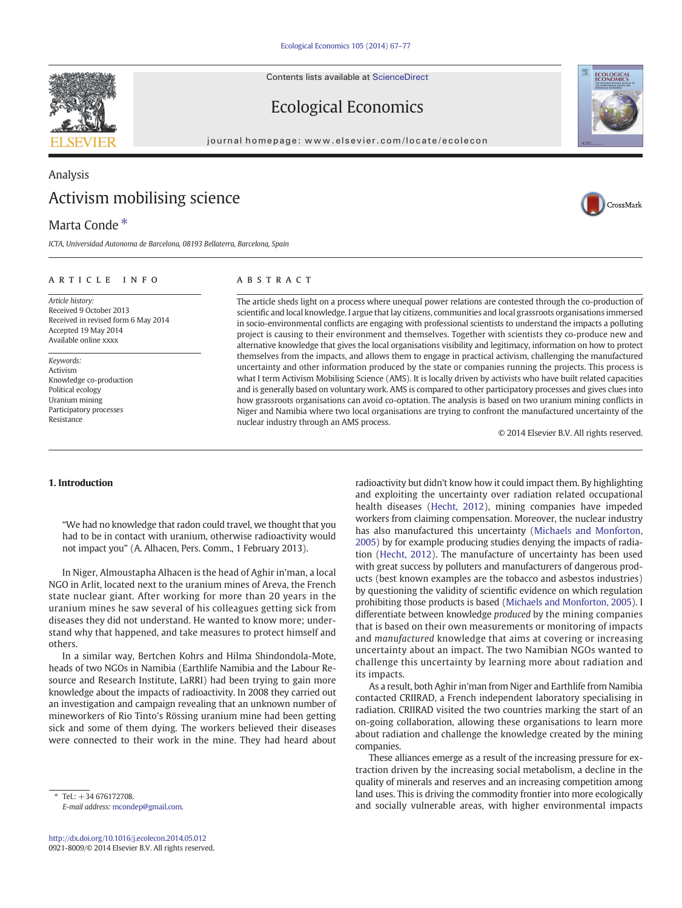Contents lists available at ScienceDirect

# Ecological Economics

journal homepage: www.elsevier.com/locate/ecolecon

# Analysis Activism mobilising science

## Marta Conde<sup>\*</sup>

ICTA, Universidad Autonoma de Barcelona, 08193 Bellaterra, Barcelona, Spain

#### article info abstract

Article history: Received 9 October 2013 Received in revised form 6 May 2014 Accepted 19 May 2014 Available online xxxx

Keywords: Activism Knowledge co-production Political ecology Uranium mining Participatory processes Resistance

The article sheds light on a process where unequal power relations are contested through the co-production of scientific and local knowledge. I argue that lay citizens, communities and local grassroots organisations immersed in socio-environmental conflicts are engaging with professional scientists to understand the impacts a polluting project is causing to their environment and themselves. Together with scientists they co-produce new and alternative knowledge that gives the local organisations visibility and legitimacy, information on how to protect themselves from the impacts, and allows them to engage in practical activism, challenging the manufactured uncertainty and other information produced by the state or companies running the projects. This process is what I term Activism Mobilising Science (AMS). It is locally driven by activists who have built related capacities and is generally based on voluntary work. AMS is compared to other participatory processes and gives clues into how grassroots organisations can avoid co-optation. The analysis is based on two uranium mining conflicts in Niger and Namibia where two local organisations are trying to confront the manufactured uncertainty of the nuclear industry through an AMS process.

© 2014 Elsevier B.V. All rights reserved.

#### 1. Introduction

"We had no knowledge that radon could travel, we thought that you had to be in contact with uranium, otherwise radioactivity would not impact you" (A. Alhacen, Pers. Comm., 1 February 2013).

In Niger, Almoustapha Alhacen is the head of Aghir in'man, a local NGO in Arlit, located next to the uranium mines of Areva, the French state nuclear giant. After working for more than 20 years in the uranium mines he saw several of his colleagues getting sick from diseases they did not understand. He wanted to know more; understand why that happened, and take measures to protect himself and others.

In a similar way, Bertchen Kohrs and Hilma Shindondola-Mote, heads of two NGOs in Namibia (Earthlife Namibia and the Labour Resource and Research Institute, LaRRI) had been trying to gain more knowledge about the impacts of radioactivity. In 2008 they carried out an investigation and campaign revealing that an unknown number of mineworkers of Rio Tinto's Rössing uranium mine had been getting sick and some of them dying. The workers believed their diseases were connected to their work in the mine. They had heard about

⁎ Tel.: +34 676172708. E-mail address: [mcondep@gmail.com.](mailto:mcondep@gmail.com) and exploiting the uncertainty over radiation related occupational health diseases [\(Hecht, 2012\)](#page-10-0), mining companies have impeded workers from claiming compensation. Moreover, the nuclear industry has also manufactured this uncertainty ([Michaels and Monforton,](#page-10-0) [2005](#page-10-0)) by for example producing studies denying the impacts of radiation ([Hecht, 2012](#page-10-0)). The manufacture of uncertainty has been used with great success by polluters and manufacturers of dangerous products (best known examples are the tobacco and asbestos industries) by questioning the validity of scientific evidence on which regulation prohibiting those products is based [\(Michaels and Monforton, 2005\)](#page-10-0). I differentiate between knowledge produced by the mining companies that is based on their own measurements or monitoring of impacts and manufactured knowledge that aims at covering or increasing uncertainty about an impact. The two Namibian NGOs wanted to challenge this uncertainty by learning more about radiation and its impacts. As a result, both Aghir in'man from Niger and Earthlife from Namibia

radioactivity but didn't know how it could impact them. By highlighting

contacted CRIIRAD, a French independent laboratory specialising in radiation. CRIIRAD visited the two countries marking the start of an on-going collaboration, allowing these organisations to learn more about radiation and challenge the knowledge created by the mining companies.

These alliances emerge as a result of the increasing pressure for extraction driven by the increasing social metabolism, a decline in the quality of minerals and reserves and an increasing competition among land uses. This is driving the commodity frontier into more ecologically and socially vulnerable areas, with higher environmental impacts



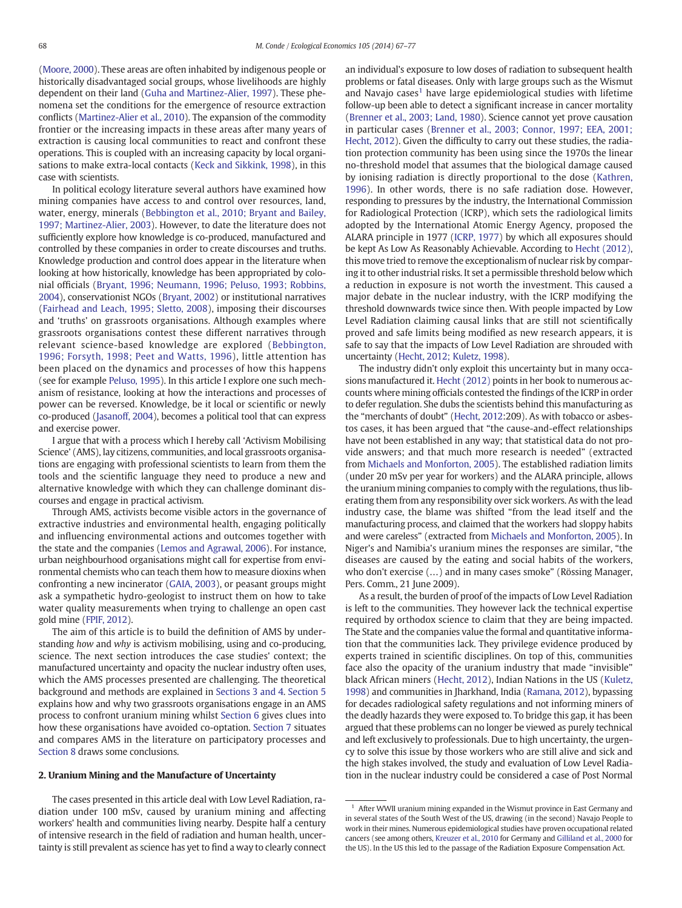[\(Moore, 2000\)](#page-10-0). These areas are often inhabited by indigenous people or historically disadvantaged social groups, whose livelihoods are highly dependent on their land ([Guha and Martinez-Alier, 1997\)](#page-10-0). These phenomena set the conditions for the emergence of resource extraction conflicts ([Martinez-Alier et al., 2010](#page-10-0)). The expansion of the commodity frontier or the increasing impacts in these areas after many years of extraction is causing local communities to react and confront these operations. This is coupled with an increasing capacity by local organisations to make extra-local contacts ([Keck and Sikkink, 1998](#page-10-0)), in this case with scientists.

In political ecology literature several authors have examined how mining companies have access to and control over resources, land, water, energy, minerals [\(Bebbington et al., 2010; Bryant and Bailey,](#page-9-0) [1997; Martinez-Alier, 2003\)](#page-9-0). However, to date the literature does not sufficiently explore how knowledge is co-produced, manufactured and controlled by these companies in order to create discourses and truths. Knowledge production and control does appear in the literature when looking at how historically, knowledge has been appropriated by colonial officials [\(Bryant, 1996; Neumann, 1996; Peluso, 1993; Robbins,](#page-9-0) [2004\)](#page-9-0), conservationist NGOs ([Bryant, 2002\)](#page-9-0) or institutional narratives [\(Fairhead and Leach, 1995; Sletto, 2008](#page-9-0)), imposing their discourses and 'truths' on grassroots organisations. Although examples where grassroots organisations contest these different narratives through relevant science-based knowledge are explored ([Bebbington,](#page-9-0) [1996; Forsyth, 1998; Peet and Watts, 1996\)](#page-9-0), little attention has been placed on the dynamics and processes of how this happens (see for example [Peluso, 1995\)](#page-10-0). In this article I explore one such mechanism of resistance, looking at how the interactions and processes of power can be reversed. Knowledge, be it local or scientific or newly co-produced [\(Jasanoff, 2004\)](#page-10-0), becomes a political tool that can express and exercise power.

I argue that with a process which I hereby call 'Activism Mobilising Science' (AMS), lay citizens, communities, and local grassroots organisations are engaging with professional scientists to learn from them the tools and the scientific language they need to produce a new and alternative knowledge with which they can challenge dominant discourses and engage in practical activism.

Through AMS, activists become visible actors in the governance of extractive industries and environmental health, engaging politically and influencing environmental actions and outcomes together with the state and the companies [\(Lemos and Agrawal, 2006](#page-10-0)). For instance, urban neighbourhood organisations might call for expertise from environmental chemists who can teach them how to measure dioxins when confronting a new incinerator [\(GAIA, 2003\)](#page-10-0), or peasant groups might ask a sympathetic hydro-geologist to instruct them on how to take water quality measurements when trying to challenge an open cast gold mine [\(FPIF, 2012](#page-10-0)).

The aim of this article is to build the definition of AMS by understanding how and why is activism mobilising, using and co-producing, science. The next section introduces the case studies' context; the manufactured uncertainty and opacity the nuclear industry often uses, which the AMS processes presented are challenging. The theoretical background and methods are explained in [Sections 3 and 4.](#page-2-0) [Section 5](#page-3-0) explains how and why two grassroots organisations engage in an AMS process to confront uranium mining whilst [Section 6](#page-7-0) gives clues into how these organisations have avoided co-optation. [Section 7](#page-8-0) situates and compares AMS in the literature on participatory processes and [Section 8](#page-8-0) draws some conclusions.

#### 2. Uranium Mining and the Manufacture of Uncertainty

The cases presented in this article deal with Low Level Radiation, radiation under 100 mSv, caused by uranium mining and affecting workers' health and communities living nearby. Despite half a century of intensive research in the field of radiation and human health, uncertainty is still prevalent as science has yet to find a way to clearly connect an individual's exposure to low doses of radiation to subsequent health problems or fatal diseases. Only with large groups such as the Wismut and Navajo cases<sup>1</sup> have large epidemiological studies with lifetime follow-up been able to detect a significant increase in cancer mortality [\(Brenner et al., 2003; Land, 1980](#page-9-0)). Science cannot yet prove causation in particular cases [\(Brenner et al., 2003; Connor, 1997; EEA, 2001;](#page-9-0) [Hecht, 2012\)](#page-9-0). Given the difficulty to carry out these studies, the radiation protection community has been using since the 1970s the linear no-threshold model that assumes that the biological damage caused by ionising radiation is directly proportional to the dose [\(Kathren,](#page-10-0) [1996](#page-10-0)). In other words, there is no safe radiation dose. However, responding to pressures by the industry, the International Commission for Radiological Protection (ICRP), which sets the radiological limits adopted by the International Atomic Energy Agency, proposed the ALARA principle in 1977 ([ICRP, 1977\)](#page-10-0) by which all exposures should be kept As Low As Reasonably Achievable. According to [Hecht \(2012\),](#page-10-0) this move tried to remove the exceptionalism of nuclear risk by comparing it to other industrial risks. It set a permissible threshold below which a reduction in exposure is not worth the investment. This caused a major debate in the nuclear industry, with the ICRP modifying the threshold downwards twice since then. With people impacted by Low Level Radiation claiming causal links that are still not scientifically proved and safe limits being modified as new research appears, it is safe to say that the impacts of Low Level Radiation are shrouded with uncertainty [\(Hecht, 2012; Kuletz, 1998\)](#page-10-0).

The industry didn't only exploit this uncertainty but in many occasions manufactured it. [Hecht \(2012\)](#page-10-0) points in her book to numerous accounts where mining officials contested the findings of the ICRP in order to defer regulation. She dubs the scientists behind this manufacturing as the "merchants of doubt" ([Hecht, 2012](#page-10-0):209). As with tobacco or asbestos cases, it has been argued that "the cause-and-effect relationships have not been established in any way; that statistical data do not provide answers; and that much more research is needed" (extracted from [Michaels and Monforton, 2005\)](#page-10-0). The established radiation limits (under 20 mSv per year for workers) and the ALARA principle, allows the uranium mining companies to comply with the regulations, thus liberating them from any responsibility over sick workers. As with the lead industry case, the blame was shifted "from the lead itself and the manufacturing process, and claimed that the workers had sloppy habits and were careless" (extracted from [Michaels and Monforton, 2005](#page-10-0)). In Niger's and Namibia's uranium mines the responses are similar, "the diseases are caused by the eating and social habits of the workers, who don't exercise (…) and in many cases smoke" (Rössing Manager, Pers. Comm., 21 June 2009).

As a result, the burden of proof of the impacts of Low Level Radiation is left to the communities. They however lack the technical expertise required by orthodox science to claim that they are being impacted. The State and the companies value the formal and quantitative information that the communities lack. They privilege evidence produced by experts trained in scientific disciplines. On top of this, communities face also the opacity of the uranium industry that made "invisible" black African miners [\(Hecht, 2012\)](#page-10-0), Indian Nations in the US ([Kuletz,](#page-10-0) [1998\)](#page-10-0) and communities in Jharkhand, India [\(Ramana, 2012\)](#page-10-0), bypassing for decades radiological safety regulations and not informing miners of the deadly hazards they were exposed to. To bridge this gap, it has been argued that these problems can no longer be viewed as purely technical and left exclusively to professionals. Due to high uncertainty, the urgency to solve this issue by those workers who are still alive and sick and the high stakes involved, the study and evaluation of Low Level Radiation in the nuclear industry could be considered a case of Post Normal

 $1$  After WWII uranium mining expanded in the Wismut province in East Germany and in several states of the South West of the US, drawing (in the second) Navajo People to work in their mines. Numerous epidemiological studies have proven occupational related cancers (see among others, [Kreuzer et al., 2010](#page-10-0) for Germany and [Gilliland et al., 2000](#page-10-0) for the US). In the US this led to the passage of the Radiation Exposure Compensation Act.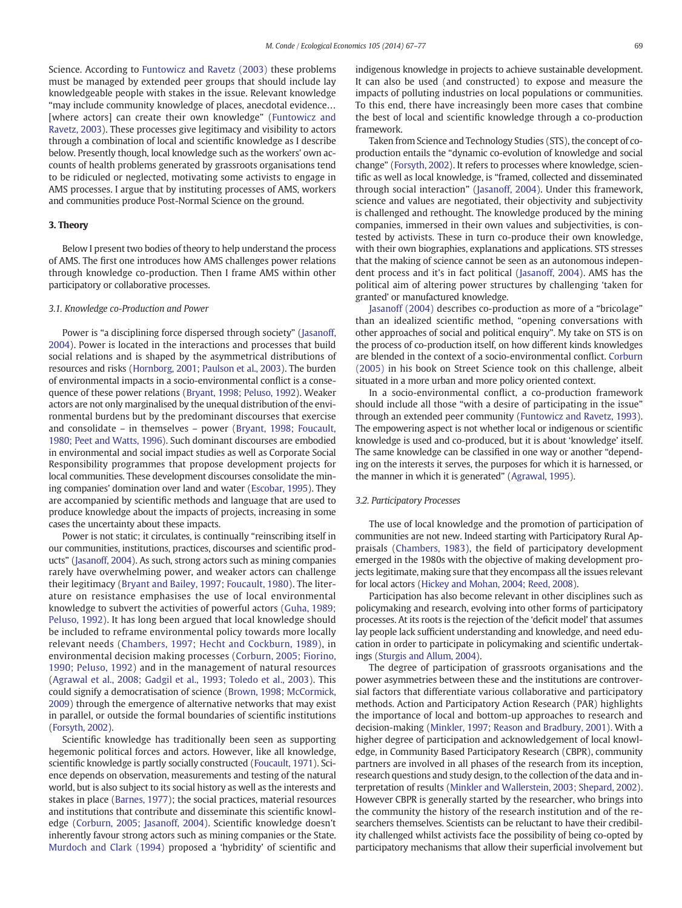<span id="page-2-0"></span>Science. According to [Funtowicz and Ravetz \(2003\)](#page-10-0) these problems must be managed by extended peer groups that should include lay knowledgeable people with stakes in the issue. Relevant knowledge "may include community knowledge of places, anecdotal evidence… [where actors] can create their own knowledge" ([Funtowicz and](#page-10-0) [Ravetz, 2003\)](#page-10-0). These processes give legitimacy and visibility to actors through a combination of local and scientific knowledge as I describe below. Presently though, local knowledge such as the workers' own accounts of health problems generated by grassroots organisations tend to be ridiculed or neglected, motivating some activists to engage in AMS processes. I argue that by instituting processes of AMS, workers and communities produce Post-Normal Science on the ground.

### 3. Theory

Below I present two bodies of theory to help understand the process of AMS. The first one introduces how AMS challenges power relations through knowledge co-production. Then I frame AMS within other participatory or collaborative processes.

#### 3.1. Knowledge co-Production and Power

Power is "a disciplining force dispersed through society" ([Jasanoff,](#page-10-0) [2004\)](#page-10-0). Power is located in the interactions and processes that build social relations and is shaped by the asymmetrical distributions of resources and risks [\(Hornborg, 2001; Paulson et al., 2003](#page-10-0)). The burden of environmental impacts in a socio-environmental conflict is a consequence of these power relations ([Bryant, 1998; Peluso, 1992](#page-9-0)). Weaker actors are not only marginalised by the unequal distribution of the environmental burdens but by the predominant discourses that exercise and consolidate – in themselves – power [\(Bryant, 1998; Foucault,](#page-9-0) [1980; Peet and Watts, 1996\)](#page-9-0). Such dominant discourses are embodied in environmental and social impact studies as well as Corporate Social Responsibility programmes that propose development projects for local communities. These development discourses consolidate the mining companies' domination over land and water ([Escobar, 1995\)](#page-9-0). They are accompanied by scientific methods and language that are used to produce knowledge about the impacts of projects, increasing in some cases the uncertainty about these impacts.

Power is not static; it circulates, is continually "reinscribing itself in our communities, institutions, practices, discourses and scientific products" ([Jasanoff, 2004\)](#page-10-0). As such, strong actors such as mining companies rarely have overwhelming power, and weaker actors can challenge their legitimacy [\(Bryant and Bailey, 1997; Foucault, 1980](#page-9-0)). The literature on resistance emphasises the use of local environmental knowledge to subvert the activities of powerful actors ([Guha, 1989;](#page-10-0) [Peluso, 1992\)](#page-10-0). It has long been argued that local knowledge should be included to reframe environmental policy towards more locally relevant needs [\(Chambers, 1997; Hecht and Cockburn, 1989\)](#page-9-0), in environmental decision making processes [\(Corburn, 2005; Fiorino,](#page-9-0) [1990; Peluso, 1992\)](#page-9-0) and in the management of natural resources [\(Agrawal et al., 2008; Gadgil et al., 1993; Toledo et al., 2003](#page-9-0)). This could signify a democratisation of science [\(Brown, 1998; McCormick,](#page-9-0) [2009\)](#page-9-0) through the emergence of alternative networks that may exist in parallel, or outside the formal boundaries of scientific institutions [\(Forsyth, 2002](#page-10-0)).

Scientific knowledge has traditionally been seen as supporting hegemonic political forces and actors. However, like all knowledge, scientific knowledge is partly socially constructed [\(Foucault, 1971](#page-10-0)). Science depends on observation, measurements and testing of the natural world, but is also subject to its social history as well as the interests and stakes in place ([Barnes, 1977\)](#page-9-0); the social practices, material resources and institutions that contribute and disseminate this scientific knowledge ([Corburn, 2005; Jasanoff, 2004](#page-9-0)). Scientific knowledge doesn't inherently favour strong actors such as mining companies or the State. [Murdoch and Clark \(1994\)](#page-10-0) proposed a 'hybridity' of scientific and indigenous knowledge in projects to achieve sustainable development. It can also be used (and constructed) to expose and measure the impacts of polluting industries on local populations or communities. To this end, there have increasingly been more cases that combine the best of local and scientific knowledge through a co-production framework.

Taken from Science and Technology Studies (STS), the concept of coproduction entails the "dynamic co-evolution of knowledge and social change" [\(Forsyth, 2002](#page-10-0)). It refers to processes where knowledge, scientific as well as local knowledge, is "framed, collected and disseminated through social interaction" ([Jasanoff, 2004\)](#page-10-0). Under this framework, science and values are negotiated, their objectivity and subjectivity is challenged and rethought. The knowledge produced by the mining companies, immersed in their own values and subjectivities, is contested by activists. These in turn co-produce their own knowledge, with their own biographies, explanations and applications. STS stresses that the making of science cannot be seen as an autonomous independent process and it's in fact political ([Jasanoff, 2004\)](#page-10-0). AMS has the political aim of altering power structures by challenging 'taken for granted' or manufactured knowledge.

[Jasanoff \(2004\)](#page-10-0) describes co-production as more of a "bricolage" than an idealized scientific method, "opening conversations with other approaches of social and political enquiry". My take on STS is on the process of co-production itself, on how different kinds knowledges are blended in the context of a socio-environmental conflict. [Corburn](#page-9-0) [\(2005\)](#page-9-0) in his book on Street Science took on this challenge, albeit situated in a more urban and more policy oriented context.

In a socio-environmental conflict, a co-production framework should include all those "with a desire of participating in the issue" through an extended peer community ([Funtowicz and Ravetz, 1993](#page-10-0)). The empowering aspect is not whether local or indigenous or scientific knowledge is used and co-produced, but it is about 'knowledge' itself. The same knowledge can be classified in one way or another "depending on the interests it serves, the purposes for which it is harnessed, or the manner in which it is generated" ([Agrawal, 1995\)](#page-9-0).

#### 3.2. Participatory Processes

The use of local knowledge and the promotion of participation of communities are not new. Indeed starting with Participatory Rural Appraisals ([Chambers, 1983](#page-9-0)), the field of participatory development emerged in the 1980s with the objective of making development projects legitimate, making sure that they encompass all the issues relevant for local actors [\(Hickey and Mohan, 2004; Reed, 2008](#page-10-0)).

Participation has also become relevant in other disciplines such as policymaking and research, evolving into other forms of participatory processes. At its roots is the rejection of the 'deficit model' that assumes lay people lack sufficient understanding and knowledge, and need education in order to participate in policymaking and scientific undertakings ([Sturgis and Allum, 2004\)](#page-10-0).

The degree of participation of grassroots organisations and the power asymmetries between these and the institutions are controversial factors that differentiate various collaborative and participatory methods. Action and Participatory Action Research (PAR) highlights the importance of local and bottom-up approaches to research and decision-making ([Minkler, 1997; Reason and Bradbury, 2001\)](#page-10-0). With a higher degree of participation and acknowledgement of local knowledge, in Community Based Participatory Research (CBPR), community partners are involved in all phases of the research from its inception, research questions and study design, to the collection of the data and interpretation of results [\(Minkler and Wallerstein, 2003; Shepard, 2002](#page-10-0)). However CBPR is generally started by the researcher, who brings into the community the history of the research institution and of the researchers themselves. Scientists can be reluctant to have their credibility challenged whilst activists face the possibility of being co-opted by participatory mechanisms that allow their superficial involvement but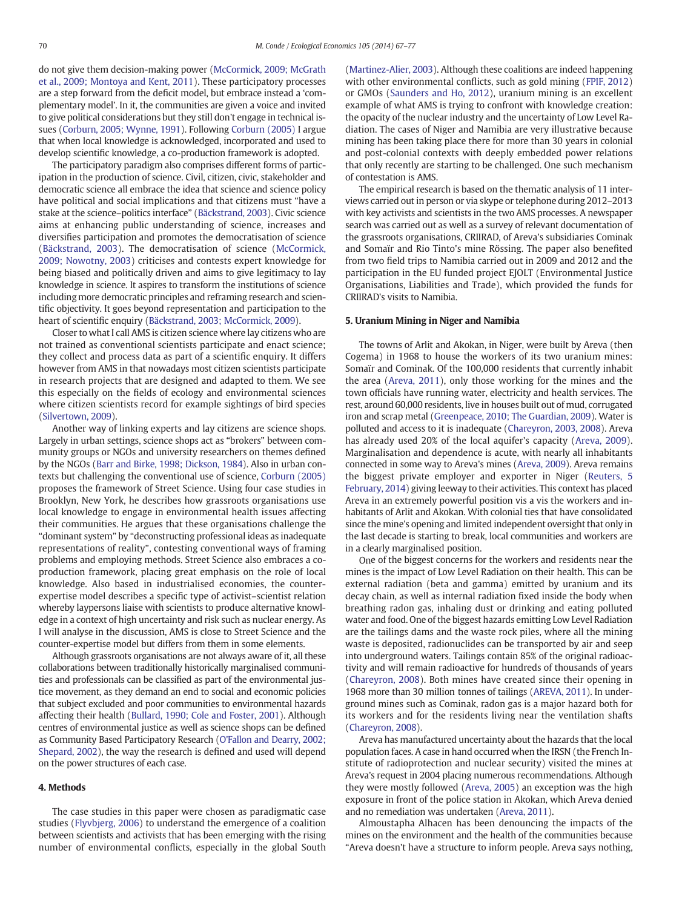<span id="page-3-0"></span>do not give them decision-making power ([McCormick, 2009; McGrath](#page-10-0) [et al., 2009; Montoya and Kent, 2011](#page-10-0)). These participatory processes are a step forward from the deficit model, but embrace instead a 'complementary model'. In it, the communities are given a voice and invited to give political considerations but they still don't engage in technical issues ([Corburn, 2005; Wynne, 1991\)](#page-9-0). Following [Corburn \(2005\)](#page-9-0) I argue that when local knowledge is acknowledged, incorporated and used to develop scientific knowledge, a co-production framework is adopted.

The participatory paradigm also comprises different forms of participation in the production of science. Civil, citizen, civic, stakeholder and democratic science all embrace the idea that science and science policy have political and social implications and that citizens must "have a stake at the science–politics interface" ([Bäckstrand, 2003](#page-9-0)). Civic science aims at enhancing public understanding of science, increases and diversifies participation and promotes the democratisation of science [\(Bäckstrand, 2003\)](#page-9-0). The democratisation of science [\(McCormick,](#page-10-0) [2009; Nowotny, 2003](#page-10-0)) criticises and contests expert knowledge for being biased and politically driven and aims to give legitimacy to lay knowledge in science. It aspires to transform the institutions of science including more democratic principles and reframing research and scientific objectivity. It goes beyond representation and participation to the heart of scientific enquiry [\(Bäckstrand, 2003; McCormick, 2009\)](#page-9-0).

Closer to what I call AMS is citizen science where lay citizens who are not trained as conventional scientists participate and enact science; they collect and process data as part of a scientific enquiry. It differs however from AMS in that nowadays most citizen scientists participate in research projects that are designed and adapted to them. We see this especially on the fields of ecology and environmental sciences where citizen scientists record for example sightings of bird species [\(Silvertown, 2009](#page-10-0)).

Another way of linking experts and lay citizens are science shops. Largely in urban settings, science shops act as "brokers" between community groups or NGOs and university researchers on themes defined by the NGOs [\(Barr and Birke, 1998; Dickson, 1984\)](#page-9-0). Also in urban contexts but challenging the conventional use of science, [Corburn \(2005\)](#page-9-0) proposes the framework of Street Science. Using four case studies in Brooklyn, New York, he describes how grassroots organisations use local knowledge to engage in environmental health issues affecting their communities. He argues that these organisations challenge the "dominant system" by "deconstructing professional ideas as inadequate representations of reality", contesting conventional ways of framing problems and employing methods. Street Science also embraces a coproduction framework, placing great emphasis on the role of local knowledge. Also based in industrialised economies, the counterexpertise model describes a specific type of activist–scientist relation whereby laypersons liaise with scientists to produce alternative knowledge in a context of high uncertainty and risk such as nuclear energy. As I will analyse in the discussion, AMS is close to Street Science and the counter-expertise model but differs from them in some elements.

Although grassroots organisations are not always aware of it, all these collaborations between traditionally historically marginalised communities and professionals can be classified as part of the environmental justice movement, as they demand an end to social and economic policies that subject excluded and poor communities to environmental hazards affecting their health ([Bullard, 1990; Cole and Foster, 2001](#page-9-0)). Although centres of environmental justice as well as science shops can be defined as Community Based Participatory Research [\(O'Fallon and Dearry, 2002;](#page-10-0) [Shepard, 2002](#page-10-0)), the way the research is defined and used will depend on the power structures of each case.

#### 4. Methods

The case studies in this paper were chosen as paradigmatic case studies [\(Flyvbjerg, 2006\)](#page-9-0) to understand the emergence of a coalition between scientists and activists that has been emerging with the rising number of environmental conflicts, especially in the global South

[\(Martinez-Alier, 2003](#page-10-0)). Although these coalitions are indeed happening with other environmental conflicts, such as gold mining ([FPIF, 2012](#page-10-0)) or GMOs ([Saunders and Ho, 2012\)](#page-10-0), uranium mining is an excellent example of what AMS is trying to confront with knowledge creation: the opacity of the nuclear industry and the uncertainty of Low Level Radiation. The cases of Niger and Namibia are very illustrative because mining has been taking place there for more than 30 years in colonial and post-colonial contexts with deeply embedded power relations that only recently are starting to be challenged. One such mechanism of contestation is AMS.

The empirical research is based on the thematic analysis of 11 interviews carried out in person or via skype or telephone during 2012–2013 with key activists and scientists in the two AMS processes. A newspaper search was carried out as well as a survey of relevant documentation of the grassroots organisations, CRIIRAD, of Areva's subsidiaries Cominak and Somaïr and Rio Tinto's mine Rössing. The paper also benefited from two field trips to Namibia carried out in 2009 and 2012 and the participation in the EU funded project EJOLT (Environmental Justice Organisations, Liabilities and Trade), which provided the funds for CRIIRAD's visits to Namibia.

### 5. Uranium Mining in Niger and Namibia

The towns of Arlit and Akokan, in Niger, were built by Areva (then Cogema) in 1968 to house the workers of its two uranium mines: Somaïr and Cominak. Of the 100,000 residents that currently inhabit the area [\(Areva, 2011](#page-9-0)), only those working for the mines and the town officials have running water, electricity and health services. The rest, around 60,000 residents, live in houses built out of mud, corrugated iron and scrap metal [\(Greenpeace, 2010; The Guardian, 2009](#page-10-0)). Water is polluted and access to it is inadequate ([Chareyron, 2003, 2008\)](#page-9-0). Areva has already used 20% of the local aquifer's capacity ([Areva, 2009](#page-9-0)). Marginalisation and dependence is acute, with nearly all inhabitants connected in some way to Areva's mines ([Areva, 2009](#page-9-0)). Areva remains the biggest private employer and exporter in Niger ([Reuters, 5](#page-10-0) [February, 2014](#page-10-0)) giving leeway to their activities. This context has placed Areva in an extremely powerful position vis a vis the workers and inhabitants of Arlit and Akokan. With colonial ties that have consolidated since the mine's opening and limited independent oversight that only in the last decade is starting to break, local communities and workers are in a clearly marginalised position.

One of the biggest concerns for the workers and residents near the mines is the impact of Low Level Radiation on their health. This can be external radiation (beta and gamma) emitted by uranium and its decay chain, as well as internal radiation fixed inside the body when breathing radon gas, inhaling dust or drinking and eating polluted water and food. One of the biggest hazards emitting Low Level Radiation are the tailings dams and the waste rock piles, where all the mining waste is deposited, radionuclides can be transported by air and seep into underground waters. Tailings contain 85% of the original radioactivity and will remain radioactive for hundreds of thousands of years [\(Chareyron, 2008\)](#page-9-0). Both mines have created since their opening in 1968 more than 30 million tonnes of tailings [\(AREVA, 2011](#page-9-0)). In underground mines such as Cominak, radon gas is a major hazard both for its workers and for the residents living near the ventilation shafts [\(Chareyron, 2008\)](#page-9-0).

Areva has manufactured uncertainty about the hazards that the local population faces. A case in hand occurred when the IRSN (the French Institute of radioprotection and nuclear security) visited the mines at Areva's request in 2004 placing numerous recommendations. Although they were mostly followed [\(Areva, 2005](#page-9-0)) an exception was the high exposure in front of the police station in Akokan, which Areva denied and no remediation was undertaken [\(Areva, 2011\)](#page-9-0).

Almoustapha Alhacen has been denouncing the impacts of the mines on the environment and the health of the communities because "Areva doesn't have a structure to inform people. Areva says nothing,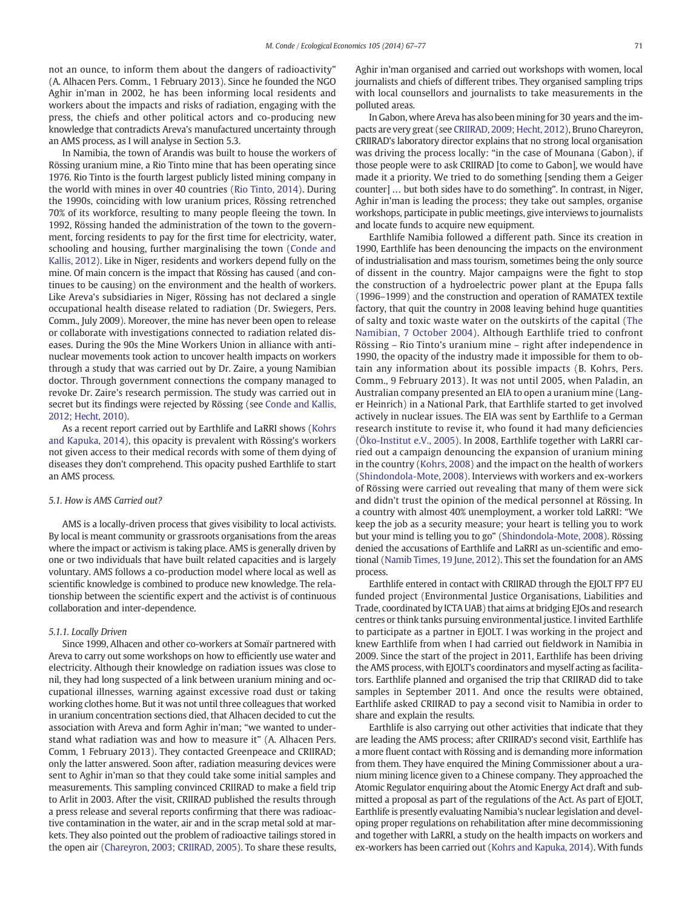not an ounce, to inform them about the dangers of radioactivity" (A. Alhacen Pers. Comm., 1 February 2013). Since he founded the NGO Aghir in'man in 2002, he has been informing local residents and workers about the impacts and risks of radiation, engaging with the press, the chiefs and other political actors and co-producing new knowledge that contradicts Areva's manufactured uncertainty through an AMS process, as I will analyse in Section 5.3.

In Namibia, the town of Arandis was built to house the workers of Rössing uranium mine, a Rio Tinto mine that has been operating since 1976. Rio Tinto is the fourth largest publicly listed mining company in the world with mines in over 40 countries ([Rio Tinto, 2014\)](#page-10-0). During the 1990s, coinciding with low uranium prices, Rössing retrenched 70% of its workforce, resulting to many people fleeing the town. In 1992, Rössing handed the administration of the town to the government, forcing residents to pay for the first time for electricity, water, schooling and housing, further marginalising the town ([Conde and](#page-9-0) [Kallis, 2012\)](#page-9-0). Like in Niger, residents and workers depend fully on the mine. Of main concern is the impact that Rössing has caused (and continues to be causing) on the environment and the health of workers. Like Areva's subsidiaries in Niger, Rössing has not declared a single occupational health disease related to radiation (Dr. Swiegers, Pers. Comm., July 2009). Moreover, the mine has never been open to release or collaborate with investigations connected to radiation related diseases. During the 90s the Mine Workers Union in alliance with antinuclear movements took action to uncover health impacts on workers through a study that was carried out by Dr. Zaire, a young Namibian doctor. Through government connections the company managed to revoke Dr. Zaire's research permission. The study was carried out in secret but its findings were rejected by Rössing (see [Conde and Kallis,](#page-9-0) [2012; Hecht, 2010\)](#page-9-0).

As a recent report carried out by Earthlife and LaRRI shows ([Kohrs](#page-10-0) [and Kapuka, 2014\)](#page-10-0), this opacity is prevalent with Rössing's workers not given access to their medical records with some of them dying of diseases they don't comprehend. This opacity pushed Earthlife to start an AMS process.

#### 5.1. How is AMS Carried out?

AMS is a locally-driven process that gives visibility to local activists. By local is meant community or grassroots organisations from the areas where the impact or activism is taking place. AMS is generally driven by one or two individuals that have built related capacities and is largely voluntary. AMS follows a co-production model where local as well as scientific knowledge is combined to produce new knowledge. The relationship between the scientific expert and the activist is of continuous collaboration and inter-dependence.

#### 5.1.1. Locally Driven

Since 1999, Alhacen and other co-workers at Somaïr partnered with Areva to carry out some workshops on how to efficiently use water and electricity. Although their knowledge on radiation issues was close to nil, they had long suspected of a link between uranium mining and occupational illnesses, warning against excessive road dust or taking working clothes home. But it was not until three colleagues that worked in uranium concentration sections died, that Alhacen decided to cut the association with Areva and form Aghir in'man; "we wanted to understand what radiation was and how to measure it" (A. Alhacen Pers. Comm, 1 February 2013). They contacted Greenpeace and CRIIRAD; only the latter answered. Soon after, radiation measuring devices were sent to Aghir in'man so that they could take some initial samples and measurements. This sampling convinced CRIIRAD to make a field trip to Arlit in 2003. After the visit, CRIIRAD published the results through a press release and several reports confirming that there was radioactive contamination in the water, air and in the scrap metal sold at markets. They also pointed out the problem of radioactive tailings stored in the open air [\(Chareyron, 2003; CRIIRAD, 2005\)](#page-9-0). To share these results, Aghir in'man organised and carried out workshops with women, local journalists and chiefs of different tribes. They organised sampling trips with local counsellors and journalists to take measurements in the polluted areas.

In Gabon, where Areva has also been mining for 30 years and the impacts are very great (see [CRIIRAD, 2009; Hecht, 2012](#page-9-0)), Bruno Chareyron, CRIIRAD's laboratory director explains that no strong local organisation was driving the process locally: "in the case of Mounana (Gabon), if those people were to ask CRIIRAD [to come to Gabon], we would have made it a priority. We tried to do something [sending them a Geiger counter] … but both sides have to do something". In contrast, in Niger, Aghir in'man is leading the process; they take out samples, organise workshops, participate in public meetings, give interviews to journalists and locate funds to acquire new equipment.

Earthlife Namibia followed a different path. Since its creation in 1990, Earthlife has been denouncing the impacts on the environment of industrialisation and mass tourism, sometimes being the only source of dissent in the country. Major campaigns were the fight to stop the construction of a hydroelectric power plant at the Epupa falls (1996–1999) and the construction and operation of RAMATEX textile factory, that quit the country in 2008 leaving behind huge quantities of salty and toxic waste water on the outskirts of the capital ([The](#page-10-0) [Namibian, 7 October 2004](#page-10-0)). Although Earthlife tried to confront Rössing – Rio Tinto's uranium mine – right after independence in 1990, the opacity of the industry made it impossible for them to obtain any information about its possible impacts (B. Kohrs, Pers. Comm., 9 February 2013). It was not until 2005, when Paladin, an Australian company presented an EIA to open a uranium mine (Langer Heinrich) in a National Park, that Earthlife started to get involved actively in nuclear issues. The EIA was sent by Earthlife to a German research institute to revise it, who found it had many deficiencies [\(Öko-Institut e.V., 2005\)](#page-10-0). In 2008, Earthlife together with LaRRI carried out a campaign denouncing the expansion of uranium mining in the country [\(Kohrs, 2008\)](#page-10-0) and the impact on the health of workers [\(Shindondola-Mote, 2008](#page-10-0)). Interviews with workers and ex-workers of Rössing were carried out revealing that many of them were sick and didn't trust the opinion of the medical personnel at Rössing. In a country with almost 40% unemployment, a worker told LaRRI: "We keep the job as a security measure; your heart is telling you to work but your mind is telling you to go" ([Shindondola-Mote, 2008](#page-10-0)). Rössing denied the accusations of Earthlife and LaRRI as un-scientific and emotional [\(Namib Times, 19 June, 2012\)](#page-10-0). This set the foundation for an AMS process.

Earthlife entered in contact with CRIIRAD through the EJOLT FP7 EU funded project (Environmental Justice Organisations, Liabilities and Trade, coordinated by ICTA UAB) that aims at bridging EJOs and research centres or think tanks pursuing environmental justice. I invited Earthlife to participate as a partner in EJOLT. I was working in the project and knew Earthlife from when I had carried out fieldwork in Namibia in 2009. Since the start of the project in 2011, Earthlife has been driving the AMS process, with EJOLT's coordinators and myself acting as facilitators. Earthlife planned and organised the trip that CRIIRAD did to take samples in September 2011. And once the results were obtained, Earthlife asked CRIIRAD to pay a second visit to Namibia in order to share and explain the results.

Earthlife is also carrying out other activities that indicate that they are leading the AMS process; after CRIIRAD's second visit, Earthlife has a more fluent contact with Rössing and is demanding more information from them. They have enquired the Mining Commissioner about a uranium mining licence given to a Chinese company. They approached the Atomic Regulator enquiring about the Atomic Energy Act draft and submitted a proposal as part of the regulations of the Act. As part of EJOLT, Earthlife is presently evaluating Namibia's nuclear legislation and developing proper regulations on rehabilitation after mine decommissioning and together with LaRRI, a study on the health impacts on workers and ex-workers has been carried out ([Kohrs and Kapuka, 2014\)](#page-10-0). With funds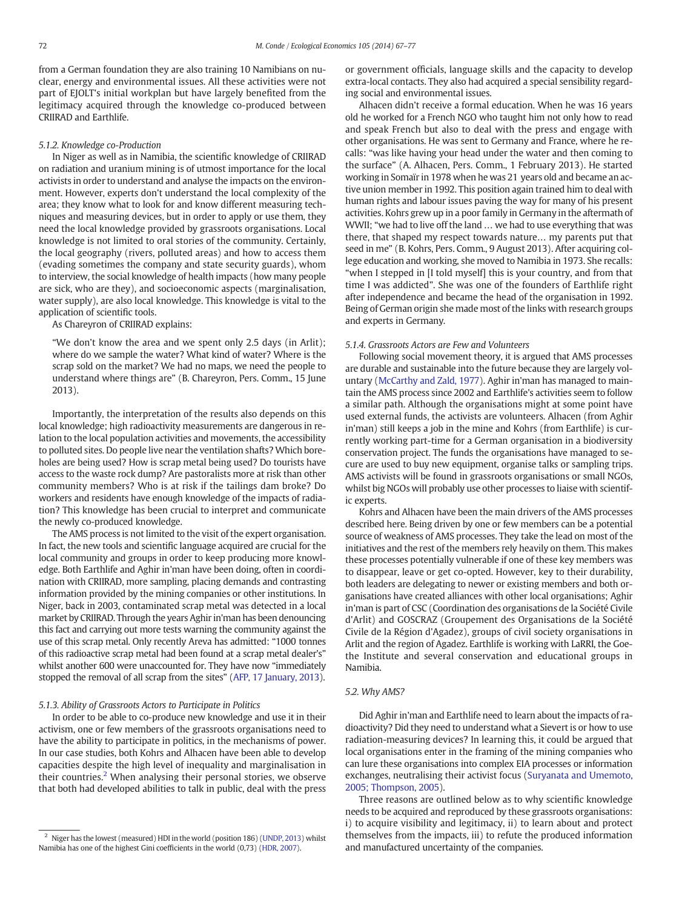from a German foundation they are also training 10 Namibians on nuclear, energy and environmental issues. All these activities were not part of EJOLT's initial workplan but have largely benefited from the legitimacy acquired through the knowledge co-produced between CRIIRAD and Earthlife.

#### 5.1.2. Knowledge co-Production

In Niger as well as in Namibia, the scientific knowledge of CRIIRAD on radiation and uranium mining is of utmost importance for the local activists in order to understand and analyse the impacts on the environment. However, experts don't understand the local complexity of the area; they know what to look for and know different measuring techniques and measuring devices, but in order to apply or use them, they need the local knowledge provided by grassroots organisations. Local knowledge is not limited to oral stories of the community. Certainly, the local geography (rivers, polluted areas) and how to access them (evading sometimes the company and state security guards), whom to interview, the social knowledge of health impacts (how many people are sick, who are they), and socioeconomic aspects (marginalisation, water supply), are also local knowledge. This knowledge is vital to the application of scientific tools.

As Chareyron of CRIIRAD explains:

"We don't know the area and we spent only 2.5 days (in Arlit); where do we sample the water? What kind of water? Where is the scrap sold on the market? We had no maps, we need the people to understand where things are" (B. Chareyron, Pers. Comm., 15 June 2013).

Importantly, the interpretation of the results also depends on this local knowledge; high radioactivity measurements are dangerous in relation to the local population activities and movements, the accessibility to polluted sites. Do people live near the ventilation shafts?Which boreholes are being used? How is scrap metal being used? Do tourists have access to the waste rock dump? Are pastoralists more at risk than other community members? Who is at risk if the tailings dam broke? Do workers and residents have enough knowledge of the impacts of radiation? This knowledge has been crucial to interpret and communicate the newly co-produced knowledge.

The AMS process is not limited to the visit of the expert organisation. In fact, the new tools and scientific language acquired are crucial for the local community and groups in order to keep producing more knowledge. Both Earthlife and Aghir in'man have been doing, often in coordination with CRIIRAD, more sampling, placing demands and contrasting information provided by the mining companies or other institutions. In Niger, back in 2003, contaminated scrap metal was detected in a local market by CRIIRAD. Through the years Aghir in'man has been denouncing this fact and carrying out more tests warning the community against the use of this scrap metal. Only recently Areva has admitted: "1000 tonnes of this radioactive scrap metal had been found at a scrap metal dealer's" whilst another 600 were unaccounted for. They have now "immediately stopped the removal of all scrap from the sites" ([AFP, 17 January, 2013\)](#page-9-0).

#### 5.1.3. Ability of Grassroots Actors to Participate in Politics

In order to be able to co-produce new knowledge and use it in their activism, one or few members of the grassroots organisations need to have the ability to participate in politics, in the mechanisms of power. In our case studies, both Kohrs and Alhacen have been able to develop capacities despite the high level of inequality and marginalisation in their countries.<sup>2</sup> When analysing their personal stories, we observe that both had developed abilities to talk in public, deal with the press or government officials, language skills and the capacity to develop extra-local contacts. They also had acquired a special sensibility regarding social and environmental issues.

Alhacen didn't receive a formal education. When he was 16 years old he worked for a French NGO who taught him not only how to read and speak French but also to deal with the press and engage with other organisations. He was sent to Germany and France, where he recalls: "was like having your head under the water and then coming to the surface" (A. Alhacen, Pers. Comm., 1 February 2013). He started working in Somaïr in 1978 when he was 21 years old and became an active union member in 1992. This position again trained him to deal with human rights and labour issues paving the way for many of his present activities. Kohrs grew up in a poor family in Germany in the aftermath of WWII; "we had to live off the land … we had to use everything that was there, that shaped my respect towards nature… my parents put that seed in me" (B. Kohrs, Pers. Comm., 9 August 2013). After acquiring college education and working, she moved to Namibia in 1973. She recalls: "when I stepped in [I told myself] this is your country, and from that time I was addicted". She was one of the founders of Earthlife right after independence and became the head of the organisation in 1992. Being of German origin she made most of the links with research groups and experts in Germany.

#### 5.1.4. Grassroots Actors are Few and Volunteers

Following social movement theory, it is argued that AMS processes are durable and sustainable into the future because they are largely voluntary ([McCarthy and Zald, 1977\)](#page-10-0). Aghir in'man has managed to maintain the AMS process since 2002 and Earthlife's activities seem to follow a similar path. Although the organisations might at some point have used external funds, the activists are volunteers. Alhacen (from Aghir in'man) still keeps a job in the mine and Kohrs (from Earthlife) is currently working part-time for a German organisation in a biodiversity conservation project. The funds the organisations have managed to secure are used to buy new equipment, organise talks or sampling trips. AMS activists will be found in grassroots organisations or small NGOs, whilst big NGOs will probably use other processes to liaise with scientific experts.

Kohrs and Alhacen have been the main drivers of the AMS processes described here. Being driven by one or few members can be a potential source of weakness of AMS processes. They take the lead on most of the initiatives and the rest of the members rely heavily on them. This makes these processes potentially vulnerable if one of these key members was to disappear, leave or get co-opted. However, key to their durability, both leaders are delegating to newer or existing members and both organisations have created alliances with other local organisations; Aghir in'man is part of CSC (Coordination des organisations de la Société Civile d'Arlit) and GOSCRAZ (Groupement des Organisations de la Société Civile de la Région d'Agadez), groups of civil society organisations in Arlit and the region of Agadez. Earthlife is working with LaRRI, the Goethe Institute and several conservation and educational groups in Namibia.

#### 5.2. Why AMS?

Did Aghir in'man and Earthlife need to learn about the impacts of radioactivity? Did they need to understand what a Sievert is or how to use radiation-measuring devices? In learning this, it could be argued that local organisations enter in the framing of the mining companies who can lure these organisations into complex EIA processes or information exchanges, neutralising their activist focus ([Suryanata and Umemoto,](#page-10-0) [2005; Thompson, 2005\)](#page-10-0).

Three reasons are outlined below as to why scientific knowledge needs to be acquired and reproduced by these grassroots organisations: i) to acquire visibility and legitimacy, ii) to learn about and protect themselves from the impacts, iii) to refute the produced information and manufactured uncertainty of the companies.

<sup>&</sup>lt;sup>2</sup> Niger has the lowest (measured) HDI in the world (position 186) [\(UNDP, 2013](#page-10-0)) whilst Namibia has one of the highest Gini coefficients in the world (0,73) ([HDR, 2007](#page-10-0)).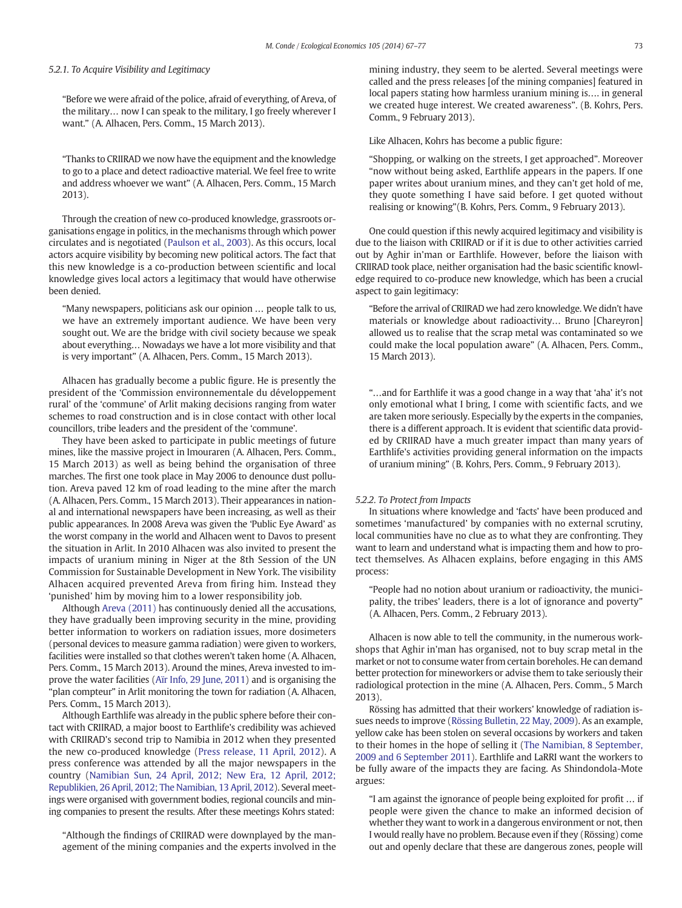5.2.1. To Acquire Visibility and Legitimacy

"Before we were afraid of the police, afraid of everything, of Areva, of the military… now I can speak to the military, I go freely wherever I want." (A. Alhacen, Pers. Comm., 15 March 2013).

"Thanks to CRIIRAD we now have the equipment and the knowledge to go to a place and detect radioactive material. We feel free to write and address whoever we want" (A. Alhacen, Pers. Comm., 15 March 2013).

Through the creation of new co-produced knowledge, grassroots organisations engage in politics, in the mechanisms through which power circulates and is negotiated [\(Paulson et al., 2003](#page-10-0)). As this occurs, local actors acquire visibility by becoming new political actors. The fact that this new knowledge is a co-production between scientific and local knowledge gives local actors a legitimacy that would have otherwise been denied.

"Many newspapers, politicians ask our opinion … people talk to us, we have an extremely important audience. We have been very sought out. We are the bridge with civil society because we speak about everything… Nowadays we have a lot more visibility and that is very important" (A. Alhacen, Pers. Comm., 15 March 2013).

Alhacen has gradually become a public figure. He is presently the president of the 'Commission environnementale du développement rural' of the 'commune' of Arlit making decisions ranging from water schemes to road construction and is in close contact with other local councillors, tribe leaders and the president of the 'commune'.

They have been asked to participate in public meetings of future mines, like the massive project in Imouraren (A. Alhacen, Pers. Comm., 15 March 2013) as well as being behind the organisation of three marches. The first one took place in May 2006 to denounce dust pollution. Areva paved 12 km of road leading to the mine after the march (A. Alhacen, Pers. Comm., 15 March 2013). Their appearances in national and international newspapers have been increasing, as well as their public appearances. In 2008 Areva was given the 'Public Eye Award' as the worst company in the world and Alhacen went to Davos to present the situation in Arlit. In 2010 Alhacen was also invited to present the impacts of uranium mining in Niger at the 8th Session of the UN Commission for Sustainable Development in New York. The visibility Alhacen acquired prevented Areva from firing him. Instead they 'punished' him by moving him to a lower responsibility job.

Although [Areva \(2011\)](#page-9-0) has continuously denied all the accusations, they have gradually been improving security in the mine, providing better information to workers on radiation issues, more dosimeters (personal devices to measure gamma radiation) were given to workers, facilities were installed so that clothes weren't taken home (A. Alhacen, Pers. Comm., 15 March 2013). Around the mines, Areva invested to improve the water facilities ([Aïr Info, 29 June, 2011](#page-9-0)) and is organising the "plan compteur" in Arlit monitoring the town for radiation (A. Alhacen, Pers. Comm., 15 March 2013).

Although Earthlife was already in the public sphere before their contact with CRIIRAD, a major boost to Earthlife's credibility was achieved with CRIIRAD's second trip to Namibia in 2012 when they presented the new co-produced knowledge [\(Press release, 11 April, 2012\)](#page-10-0). A press conference was attended by all the major newspapers in the country [\(Namibian Sun, 24 April, 2012; New Era, 12 April, 2012;](#page-10-0) [Republikien, 26 April, 2012; The Namibian, 13 April, 2012](#page-10-0)). Several meetings were organised with government bodies, regional councils and mining companies to present the results. After these meetings Kohrs stated:

"Although the findings of CRIIRAD were downplayed by the management of the mining companies and the experts involved in the mining industry, they seem to be alerted. Several meetings were called and the press releases [of the mining companies] featured in local papers stating how harmless uranium mining is…. in general we created huge interest. We created awareness". (B. Kohrs, Pers. Comm., 9 February 2013).

Like Alhacen, Kohrs has become a public figure:

"Shopping, or walking on the streets, I get approached". Moreover "now without being asked, Earthlife appears in the papers. If one paper writes about uranium mines, and they can't get hold of me, they quote something I have said before. I get quoted without realising or knowing"(B. Kohrs, Pers. Comm., 9 February 2013).

One could question if this newly acquired legitimacy and visibility is due to the liaison with CRIIRAD or if it is due to other activities carried out by Aghir in'man or Earthlife. However, before the liaison with CRIIRAD took place, neither organisation had the basic scientific knowledge required to co-produce new knowledge, which has been a crucial aspect to gain legitimacy:

"Before the arrival of CRIIRAD we had zero knowledge. We didn't have materials or knowledge about radioactivity… Bruno [Chareyron] allowed us to realise that the scrap metal was contaminated so we could make the local population aware" (A. Alhacen, Pers. Comm., 15 March 2013).

"…and for Earthlife it was a good change in a way that 'aha' it's not only emotional what I bring, I come with scientific facts, and we are taken more seriously. Especially by the experts in the companies, there is a different approach. It is evident that scientific data provided by CRIIRAD have a much greater impact than many years of Earthlife's activities providing general information on the impacts of uranium mining" (B. Kohrs, Pers. Comm., 9 February 2013).

#### 5.2.2. To Protect from Impacts

In situations where knowledge and 'facts' have been produced and sometimes 'manufactured' by companies with no external scrutiny, local communities have no clue as to what they are confronting. They want to learn and understand what is impacting them and how to protect themselves. As Alhacen explains, before engaging in this AMS process:

"People had no notion about uranium or radioactivity, the municipality, the tribes' leaders, there is a lot of ignorance and poverty" (A. Alhacen, Pers. Comm., 2 February 2013).

Alhacen is now able to tell the community, in the numerous workshops that Aghir in'man has organised, not to buy scrap metal in the market or not to consume water from certain boreholes. He can demand better protection for mineworkers or advise them to take seriously their radiological protection in the mine (A. Alhacen, Pers. Comm., 5 March 2013).

Rössing has admitted that their workers' knowledge of radiation issues needs to improve [\(Rössing Bulletin, 22 May, 2009\)](#page-10-0). As an example, yellow cake has been stolen on several occasions by workers and taken to their homes in the hope of selling it ([The Namibian, 8 September,](#page-10-0) [2009 and 6 September 2011](#page-10-0)). Earthlife and LaRRI want the workers to be fully aware of the impacts they are facing. As Shindondola-Mote argues:

"I am against the ignorance of people being exploited for profit … if people were given the chance to make an informed decision of whether they want to work in a dangerous environment or not, then I would really have no problem. Because even if they (Rössing) come out and openly declare that these are dangerous zones, people will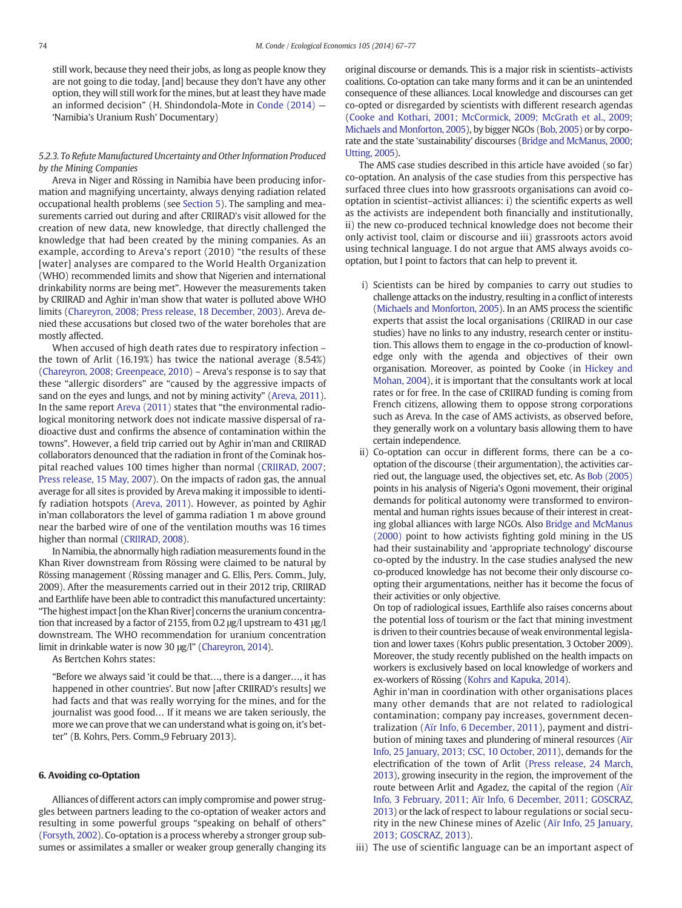<span id="page-7-0"></span>still work, because they need their jobs, as long as people know they are not going to die today, [and] because they don't have any other option, they will still work for the mines, but at least they have made an informed decision" (H. Shindondola-Mote in [Conde \(2014\)](#page-9-0) — 'Namibia's Uranium Rush' Documentary)

#### 5.2.3. To Refute Manufactured Uncertainty and Other Information Produced by the Mining Companies

Areva in Niger and Rössing in Namibia have been producing information and magnifying uncertainty, always denying radiation related occupational health problems (see [Section 5\)](#page-3-0). The sampling and measurements carried out during and after CRIIRAD's visit allowed for the creation of new data, new knowledge, that directly challenged the knowledge that had been created by the mining companies. As an example, according to Areva's report (2010) "the results of these [water] analyses are compared to the World Health Organization (WHO) recommended limits and show that Nigerien and international drinkability norms are being met". However the measurements taken by CRIIRAD and Aghir in'man show that water is polluted above WHO limits ([Chareyron, 2008; Press release, 18 December, 2003\)](#page-9-0). Areva denied these accusations but closed two of the water boreholes that are mostly affected.

When accused of high death rates due to respiratory infection – the town of Arlit (16.19%) has twice the national average (8.54%) [\(Chareyron, 2008; Greenpeace, 2010\)](#page-9-0) – Areva's response is to say that these "allergic disorders" are "caused by the aggressive impacts of sand on the eyes and lungs, and not by mining activity" [\(Areva, 2011\)](#page-9-0). In the same report [Areva \(2011\)](#page-9-0) states that "the environmental radiological monitoring network does not indicate massive dispersal of radioactive dust and confirms the absence of contamination within the towns". However, a field trip carried out by Aghir in'man and CRIIRAD collaborators denounced that the radiation in front of the Cominak hospital reached values 100 times higher than normal ([CRIIRAD, 2007;](#page-9-0) [Press release, 15 May, 2007](#page-9-0)). On the impacts of radon gas, the annual average for all sites is provided by Areva making it impossible to identify radiation hotspots ([Areva, 2011](#page-9-0)). However, as pointed by Aghir in'man collaborators the level of gamma radiation 1 m above ground near the barbed wire of one of the ventilation mouths was 16 times higher than normal ([CRIIRAD, 2008\)](#page-9-0).

In Namibia, the abnormally high radiation measurements found in the Khan River downstream from Rössing were claimed to be natural by Rössing management (Rössing manager and G. Ellis, Pers. Comm., July, 2009). After the measurements carried out in their 2012 trip, CRIIRAD and Earthlife have been able to contradict this manufactured uncertainty: "The highest impact [on the Khan River] concerns the uranium concentration that increased by a factor of 2155, from 0.2 μg/l upstream to 431 μg/l downstream. The WHO recommendation for uranium concentration limit in drinkable water is now 30 μg/l" [\(Chareyron, 2014\)](#page-9-0).

As Bertchen Kohrs states:

"Before we always said 'it could be that…, there is a danger…, it has happened in other countries'. But now [after CRIIRAD's results] we had facts and that was really worrying for the mines, and for the journalist was good food… If it means we are taken seriously, the more we can prove that we can understand what is going on, it's better" (B. Kohrs, Pers. Comm.,9 February 2013).

#### 6. Avoiding co-Optation

Alliances of different actors can imply compromise and power struggles between partners leading to the co-optation of weaker actors and resulting in some powerful groups "speaking on behalf of others" [\(Forsyth, 2002\)](#page-10-0). Co-optation is a process whereby a stronger group subsumes or assimilates a smaller or weaker group generally changing its original discourse or demands. This is a major risk in scientists–activists coalitions. Co-optation can take many forms and it can be an unintended consequence of these alliances. Local knowledge and discourses can get co-opted or disregarded by scientists with different research agendas [\(Cooke and Kothari, 2001; McCormick, 2009; McGrath et al., 2009;](#page-9-0) [Michaels and Monforton, 2005\)](#page-9-0), by bigger NGOs [\(Bob, 2005\)](#page-9-0) or by corporate and the state 'sustainability' discourses ([Bridge and McManus, 2000;](#page-9-0) [Utting, 2005\)](#page-9-0).

The AMS case studies described in this article have avoided (so far) co-optation. An analysis of the case studies from this perspective has surfaced three clues into how grassroots organisations can avoid cooptation in scientist–activist alliances: i) the scientific experts as well as the activists are independent both financially and institutionally, ii) the new co-produced technical knowledge does not become their only activist tool, claim or discourse and iii) grassroots actors avoid using technical language. I do not argue that AMS always avoids cooptation, but I point to factors that can help to prevent it.

- i) Scientists can be hired by companies to carry out studies to challenge attacks on the industry, resulting in a conflict of interests [\(Michaels and Monforton, 2005\)](#page-10-0). In an AMS process the scientific experts that assist the local organisations (CRIIRAD in our case studies) have no links to any industry, research center or institution. This allows them to engage in the co-production of knowledge only with the agenda and objectives of their own organisation. Moreover, as pointed by Cooke (in [Hickey and](#page-10-0) [Mohan, 2004\)](#page-10-0), it is important that the consultants work at local rates or for free. In the case of CRIIRAD funding is coming from French citizens, allowing them to oppose strong corporations such as Areva. In the case of AMS activists, as observed before, they generally work on a voluntary basis allowing them to have certain independence.
- ii) Co-optation can occur in different forms, there can be a cooptation of the discourse (their argumentation), the activities carried out, the language used, the objectives set, etc. As [Bob \(2005\)](#page-9-0) points in his analysis of Nigeria's Ogoni movement, their original demands for political autonomy were transformed to environmental and human rights issues because of their interest in creating global alliances with large NGOs. Also [Bridge and McManus](#page-9-0) [\(2000\)](#page-9-0) point to how activists fighting gold mining in the US had their sustainability and 'appropriate technology' discourse co-opted by the industry. In the case studies analysed the new co-produced knowledge has not become their only discourse coopting their argumentations, neither has it become the focus of their activities or only objective.

On top of radiological issues, Earthlife also raises concerns about the potential loss of tourism or the fact that mining investment is driven to their countries because of weak environmental legislation and lower taxes (Kohrs public presentation, 3 October 2009). Moreover, the study recently published on the health impacts on workers is exclusively based on local knowledge of workers and ex-workers of Rössing ([Kohrs and Kapuka, 2014](#page-10-0)).

Aghir in'man in coordination with other organisations places many other demands that are not related to radiological contamination; company pay increases, government decentralization ([Aïr Info, 6 December, 2011\)](#page-9-0), payment and distribution of mining taxes and plundering of mineral resources [\(Aïr](#page-9-0) [Info, 25 January, 2013; CSC, 10 October, 2011\)](#page-9-0), demands for the electrification of the town of Arlit ([Press release, 24 March,](#page-10-0) [2013\)](#page-10-0), growing insecurity in the region, the improvement of the route between Arlit and Agadez, the capital of the region [\(Aïr](#page-9-0) [Info, 3 February, 2011; Aïr Info, 6 December, 2011; GOSCRAZ,](#page-9-0) [2013\)](#page-9-0) or the lack of respect to labour regulations or social security in the new Chinese mines of Azelic [\(Aïr Info, 25 January,](#page-9-0) [2013; GOSCRAZ, 2013\)](#page-9-0).

iii) The use of scientific language can be an important aspect of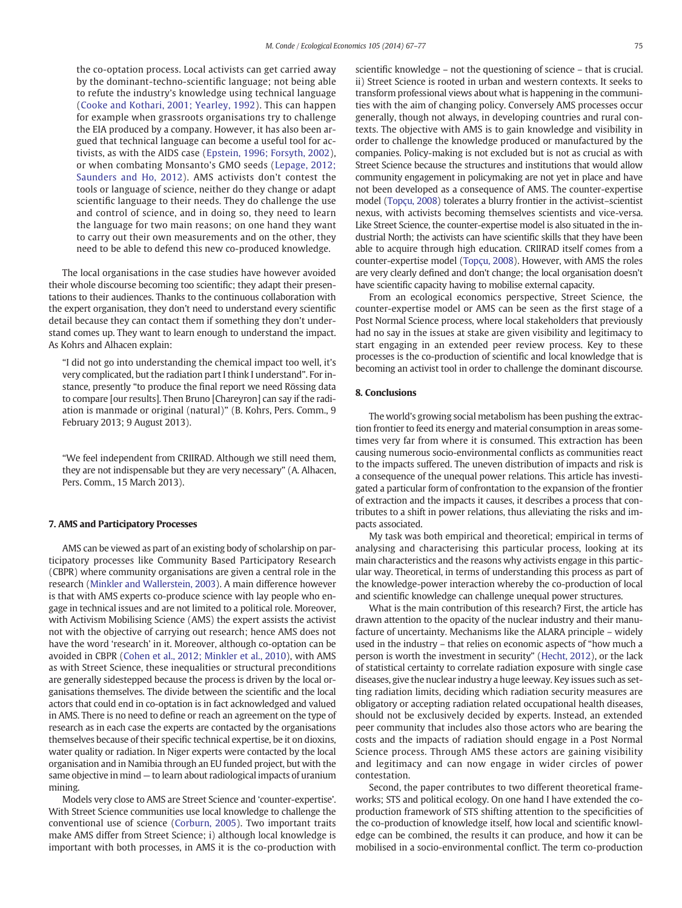<span id="page-8-0"></span>the co-optation process. Local activists can get carried away by the dominant-techno-scientific language; not being able to refute the industry's knowledge using technical language ([Cooke and Kothari, 2001; Yearley, 1992](#page-9-0)). This can happen for example when grassroots organisations try to challenge the EIA produced by a company. However, it has also been argued that technical language can become a useful tool for activists, as with the AIDS case ([Epstein, 1996; Forsyth, 2002](#page-9-0)), or when combating Monsanto's GMO seeds [\(Lepage, 2012;](#page-10-0) [Saunders and Ho, 2012\)](#page-10-0). AMS activists don't contest the tools or language of science, neither do they change or adapt scientific language to their needs. They do challenge the use and control of science, and in doing so, they need to learn the language for two main reasons; on one hand they want to carry out their own measurements and on the other, they need to be able to defend this new co-produced knowledge.

The local organisations in the case studies have however avoided their whole discourse becoming too scientific; they adapt their presentations to their audiences. Thanks to the continuous collaboration with the expert organisation, they don't need to understand every scientific detail because they can contact them if something they don't understand comes up. They want to learn enough to understand the impact. As Kohrs and Alhacen explain:

"I did not go into understanding the chemical impact too well, it's very complicated, but the radiation part I think I understand". For instance, presently "to produce the final report we need Rössing data to compare [our results]. Then Bruno [Chareyron] can say if the radiation is manmade or original (natural)" (B. Kohrs, Pers. Comm., 9 February 2013; 9 August 2013).

"We feel independent from CRIIRAD. Although we still need them, they are not indispensable but they are very necessary" (A. Alhacen, Pers. Comm., 15 March 2013).

#### 7. AMS and Participatory Processes

AMS can be viewed as part of an existing body of scholarship on participatory processes like Community Based Participatory Research (CBPR) where community organisations are given a central role in the research ([Minkler and Wallerstein, 2003](#page-10-0)). A main difference however is that with AMS experts co-produce science with lay people who engage in technical issues and are not limited to a political role. Moreover, with Activism Mobilising Science (AMS) the expert assists the activist not with the objective of carrying out research; hence AMS does not have the word 'research' in it. Moreover, although co-optation can be avoided in CBPR ([Cohen et al., 2012; Minkler et al., 2010\)](#page-9-0), with AMS as with Street Science, these inequalities or structural preconditions are generally sidestepped because the process is driven by the local organisations themselves. The divide between the scientific and the local actors that could end in co-optation is in fact acknowledged and valued in AMS. There is no need to define or reach an agreement on the type of research as in each case the experts are contacted by the organisations themselves because of their specific technical expertise, be it on dioxins, water quality or radiation. In Niger experts were contacted by the local organisation and in Namibia through an EU funded project, but with the same objective in mind — to learn about radiological impacts of uranium mining.

Models very close to AMS are Street Science and 'counter-expertise'. With Street Science communities use local knowledge to challenge the conventional use of science ([Corburn, 2005\)](#page-9-0). Two important traits make AMS differ from Street Science; i) although local knowledge is important with both processes, in AMS it is the co-production with scientific knowledge – not the questioning of science – that is crucial. ii) Street Science is rooted in urban and western contexts. It seeks to transform professional views about what is happening in the communities with the aim of changing policy. Conversely AMS processes occur generally, though not always, in developing countries and rural contexts. The objective with AMS is to gain knowledge and visibility in order to challenge the knowledge produced or manufactured by the companies. Policy-making is not excluded but is not as crucial as with Street Science because the structures and institutions that would allow community engagement in policymaking are not yet in place and have not been developed as a consequence of AMS. The counter-expertise model ([Topçu, 2008\)](#page-10-0) tolerates a blurry frontier in the activist–scientist nexus, with activists becoming themselves scientists and vice-versa. Like Street Science, the counter-expertise model is also situated in the industrial North; the activists can have scientific skills that they have been able to acquire through high education. CRIIRAD itself comes from a counter-expertise model ([Topçu, 2008\)](#page-10-0). However, with AMS the roles are very clearly defined and don't change; the local organisation doesn't have scientific capacity having to mobilise external capacity.

From an ecological economics perspective, Street Science, the counter-expertise model or AMS can be seen as the first stage of a Post Normal Science process, where local stakeholders that previously had no say in the issues at stake are given visibility and legitimacy to start engaging in an extended peer review process. Key to these processes is the co-production of scientific and local knowledge that is becoming an activist tool in order to challenge the dominant discourse.

#### 8. Conclusions

The world's growing social metabolism has been pushing the extraction frontier to feed its energy and material consumption in areas sometimes very far from where it is consumed. This extraction has been causing numerous socio-environmental conflicts as communities react to the impacts suffered. The uneven distribution of impacts and risk is a consequence of the unequal power relations. This article has investigated a particular form of confrontation to the expansion of the frontier of extraction and the impacts it causes, it describes a process that contributes to a shift in power relations, thus alleviating the risks and impacts associated.

My task was both empirical and theoretical; empirical in terms of analysing and characterising this particular process, looking at its main characteristics and the reasons why activists engage in this particular way. Theoretical, in terms of understanding this process as part of the knowledge-power interaction whereby the co-production of local and scientific knowledge can challenge unequal power structures.

What is the main contribution of this research? First, the article has drawn attention to the opacity of the nuclear industry and their manufacture of uncertainty. Mechanisms like the ALARA principle – widely used in the industry – that relies on economic aspects of "how much a person is worth the investment in security" ([Hecht, 2012](#page-10-0)), or the lack of statistical certainty to correlate radiation exposure with single case diseases, give the nuclear industry a huge leeway. Key issues such as setting radiation limits, deciding which radiation security measures are obligatory or accepting radiation related occupational health diseases, should not be exclusively decided by experts. Instead, an extended peer community that includes also those actors who are bearing the costs and the impacts of radiation should engage in a Post Normal Science process. Through AMS these actors are gaining visibility and legitimacy and can now engage in wider circles of power contestation.

Second, the paper contributes to two different theoretical frameworks; STS and political ecology. On one hand I have extended the coproduction framework of STS shifting attention to the specificities of the co-production of knowledge itself, how local and scientific knowledge can be combined, the results it can produce, and how it can be mobilised in a socio-environmental conflict. The term co-production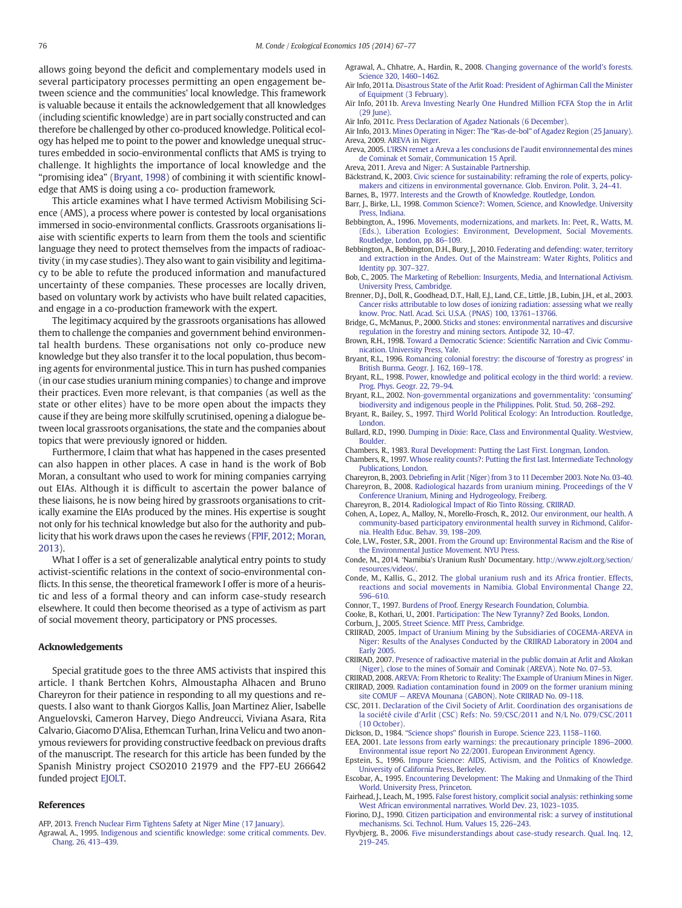<span id="page-9-0"></span>allows going beyond the deficit and complementary models used in several participatory processes permitting an open engagement between science and the communities' local knowledge. This framework is valuable because it entails the acknowledgement that all knowledges (including scientific knowledge) are in part socially constructed and can therefore be challenged by other co-produced knowledge. Political ecology has helped me to point to the power and knowledge unequal structures embedded in socio-environmental conflicts that AMS is trying to challenge. It highlights the importance of local knowledge and the "promising idea" (Bryant, 1998) of combining it with scientific knowledge that AMS is doing using a co- production framework.

This article examines what I have termed Activism Mobilising Science (AMS), a process where power is contested by local organisations immersed in socio-environmental conflicts. Grassroots organisations liaise with scientific experts to learn from them the tools and scientific language they need to protect themselves from the impacts of radioactivity (in my case studies). They also want to gain visibility and legitimacy to be able to refute the produced information and manufactured uncertainty of these companies. These processes are locally driven, based on voluntary work by activists who have built related capacities, and engage in a co-production framework with the expert.

The legitimacy acquired by the grassroots organisations has allowed them to challenge the companies and government behind environmental health burdens. These organisations not only co-produce new knowledge but they also transfer it to the local population, thus becoming agents for environmental justice. This in turn has pushed companies (in our case studies uranium mining companies) to change and improve their practices. Even more relevant, is that companies (as well as the state or other elites) have to be more open about the impacts they cause if they are being more skilfully scrutinised, opening a dialogue between local grassroots organisations, the state and the companies about topics that were previously ignored or hidden.

Furthermore, I claim that what has happened in the cases presented can also happen in other places. A case in hand is the work of Bob Moran, a consultant who used to work for mining companies carrying out EIAs. Although it is difficult to ascertain the power balance of these liaisons, he is now being hired by grassroots organisations to critically examine the EIAs produced by the mines. His expertise is sought not only for his technical knowledge but also for the authority and publicity that his work draws upon the cases he reviews ([FPIF, 2012; Moran,](#page-10-0) [2013\)](#page-10-0).

What I offer is a set of generalizable analytical entry points to study activist-scientific relations in the context of socio-environmental conflicts. In this sense, the theoretical framework I offer is more of a heuristic and less of a formal theory and can inform case-study research elsewhere. It could then become theorised as a type of activism as part of social movement theory, participatory or PNS processes.

#### Acknowledgements

Special gratitude goes to the three AMS activists that inspired this article. I thank Bertchen Kohrs, Almoustapha Alhacen and Bruno Chareyron for their patience in responding to all my questions and requests. I also want to thank Giorgos Kallis, Joan Martinez Alier, Isabelle Anguelovski, Cameron Harvey, Diego Andreucci, Viviana Asara, Rita Calvario, Giacomo D'Alisa, Ethemcan Turhan, Irina Velicu and two anonymous reviewers for providing constructive feedback on previous drafts of the manuscript. The research for this article has been funded by the Spanish Ministry project CSO2010 21979 and the FP7-EU 266642 funded project [EJOLT](http://www.ejolt.org).

#### References

AFP, 2013. [French Nuclear Firm Tightens Safety at Niger Mine \(17 January\)](http://refhub.elsevier.com/S0921-8009(14)00163-3/rf0010).

Agrawal, A., 1995. Indigenous and scientifi[c knowledge: some critical comments. Dev.](http://refhub.elsevier.com/S0921-8009(14)00163-3/rf0020) [Chang. 26, 413](http://refhub.elsevier.com/S0921-8009(14)00163-3/rf0020)–439.

- Agrawal, A., Chhatre, A., Hardin, R., 2008. [Changing governance of the world's forests.](http://refhub.elsevier.com/S0921-8009(14)00163-3/rf0025) [Science 320, 1460](http://refhub.elsevier.com/S0921-8009(14)00163-3/rf0025)–1462.
- Aïr Info, 2011a. [Disastrous State of the Arlit Road: President of Aghirman Call the Minister](http://refhub.elsevier.com/S0921-8009(14)00163-3/rf0030) [of Equipment \(3 February\)](http://refhub.elsevier.com/S0921-8009(14)00163-3/rf0030).
- Aïr Info, 2011b. [Areva Investing Nearly One Hundred Million FCFA Stop the in Arlit](http://refhub.elsevier.com/S0921-8009(14)00163-3/rf0035) [\(29 June\).](http://refhub.elsevier.com/S0921-8009(14)00163-3/rf0035)
- Aïr Info, 2011c. [Press Declaration of Agadez Nationals \(6 December\)](http://refhub.elsevier.com/S0921-8009(14)00163-3/rf0040).

Aïr Info, 2013. Mines Operating in Niger: The "Ras-de-bol" [of Agadez Region \(25 January\)](http://refhub.elsevier.com/S0921-8009(14)00163-3/rf0045). Areva, 2009. [AREVA in Niger](http://refhub.elsevier.com/S0921-8009(14)00163-3/rf0050).

Areva, 2005. L'[IRSN remet a Areva a les conclusions de l'audit environnemental des mines](http://refhub.elsevier.com/S0921-8009(14)00163-3/rf9050) [de Cominak et Somaïr, Communication 15 April.](http://refhub.elsevier.com/S0921-8009(14)00163-3/rf9050)

Areva, 2011. [Areva and Niger: A Sustainable Partnership.](http://refhub.elsevier.com/S0921-8009(14)00163-3/rf0055)

- Bäckstrand, K., 2003. [Civic science for sustainability: reframing the role of experts, policy](http://refhub.elsevier.com/S0921-8009(14)00163-3/rf0060)[makers and citizens in environmental governance. Glob. Environ. Polit. 3, 24](http://refhub.elsevier.com/S0921-8009(14)00163-3/rf0060)–41.
- Barnes, B., 1977. [Interests and the Growth of Knowledge. Routledge, London.](http://refhub.elsevier.com/S0921-8009(14)00163-3/rf0065) Barr, J., Birke, L.I., 1998. [Common Science?: Women, Science, and Knowledge. University](http://refhub.elsevier.com/S0921-8009(14)00163-3/rf0070)
- [Press, Indiana.](http://refhub.elsevier.com/S0921-8009(14)00163-3/rf0070) Bebbington, A., 1996. [Movements, modernizations, and markets. In: Peet, R., Watts, M.](http://refhub.elsevier.com/S0921-8009(14)00163-3/rf0080)
- [\(Eds.\), Liberation Ecologies: Environment, Development, Social Movements.](http://refhub.elsevier.com/S0921-8009(14)00163-3/rf0080) [Routledge, London, pp. 86](http://refhub.elsevier.com/S0921-8009(14)00163-3/rf0080)–109.
- Bebbington, A., Bebbington, D.H., Bury, J., 2010. [Federating and defending: water, territory](http://refhub.elsevier.com/S0921-8009(14)00163-3/rf0085) [and extraction in the Andes. Out of the Mainstream: Water Rights, Politics and](http://refhub.elsevier.com/S0921-8009(14)00163-3/rf0085) [Identity pp. 307](http://refhub.elsevier.com/S0921-8009(14)00163-3/rf0085)–327.
- Bob, C., 2005. [The Marketing of Rebellion: Insurgents, Media, and International Activism.](http://refhub.elsevier.com/S0921-8009(14)00163-3/rf0090) [University Press, Cambridge](http://refhub.elsevier.com/S0921-8009(14)00163-3/rf0090).
- Brenner, D.J., Doll, R., Goodhead, D.T., Hall, E.J., Land, C.E., Little, J.B., Lubin, J.H., et al., 2003. [Cancer risks attributable to low doses of ionizing radiation: assessing what we really](http://refhub.elsevier.com/S0921-8009(14)00163-3/rf0095) [know. Proc. Natl. Acad. Sci. U.S.A. \(PNAS\) 100, 13761](http://refhub.elsevier.com/S0921-8009(14)00163-3/rf0095)–13766.
- Bridge, G., McManus, P., 2000. [Sticks and stones: environmental narratives and discursive](http://refhub.elsevier.com/S0921-8009(14)00163-3/rf0100) [regulation in the forestry and mining sectors. Antipode 32, 10](http://refhub.elsevier.com/S0921-8009(14)00163-3/rf0100)–47.
- Brown, R.H., 1998. [Toward a Democratic Science: Scienti](http://refhub.elsevier.com/S0921-8009(14)00163-3/rf8060)fic Narration and Civic Commu[nication. University Press, Yale.](http://refhub.elsevier.com/S0921-8009(14)00163-3/rf8060)
- Bryant, R.L., 1996. [Romancing colonial forestry: the discourse of](http://refhub.elsevier.com/S0921-8009(14)00163-3/rf0115) 'forestry as progress' in [British Burma. Geogr. J. 162, 169](http://refhub.elsevier.com/S0921-8009(14)00163-3/rf0115)–178.
- Bryant, R.L., 1998. [Power, knowledge and political ecology in the third world: a review.](http://refhub.elsevier.com/S0921-8009(14)00163-3/rf0120) [Prog. Phys. Geogr. 22, 79](http://refhub.elsevier.com/S0921-8009(14)00163-3/rf0120)–94.
- Bryant, R.L., 2002. Non‐[governmental organizations and governmentality:](http://refhub.elsevier.com/S0921-8009(14)00163-3/rf0125) 'consuming' [biodiversity and indigenous people in the Philippines. Polit. Stud. 50, 268](http://refhub.elsevier.com/S0921-8009(14)00163-3/rf0125)–292.
- Bryant, R., Bailey, S., 1997. [Third World Political Ecology: An Introduction. Routledge,](http://refhub.elsevier.com/S0921-8009(14)00163-3/rf0130) **London**
- Bullard, R.D., 1990. [Dumping in Dixie: Race, Class and Environmental Quality. Westview,](http://refhub.elsevier.com/S0921-8009(14)00163-3/rf0135) **Boulder**
- Chambers, R., 1983. [Rural Development: Putting the Last First. Longman, London](http://refhub.elsevier.com/S0921-8009(14)00163-3/rf0140).
- Chambers, R., 1997. [Whose reality counts?: Putting the](http://refhub.elsevier.com/S0921-8009(14)00163-3/rf0145) first last. Intermediate Technology [Publications, London](http://refhub.elsevier.com/S0921-8009(14)00163-3/rf0145).
- Chareyron, B., 2003. Debriefi[ng in Arlit \(Níger\) from 3 to 11 December 2003. Note No. 03-40](http://refhub.elsevier.com/S0921-8009(14)00163-3/rf0150). Chareyron, B., 2008. [Radiological hazards from uranium mining. Proceedings of the V](http://refhub.elsevier.com/S0921-8009(14)00163-3/rf0155) [Conference Uranium, Mining and Hydrogeology, Freiberg](http://refhub.elsevier.com/S0921-8009(14)00163-3/rf0155).
- Chareyron, B., 2014. [Radiological Impact of Rio Tinto Rössing. CRIIRAD](http://refhub.elsevier.com/S0921-8009(14)00163-3/rf0160).
- Cohen, A., Lopez, A., Malloy, N., Morello-Frosch, R., 2012. [Our environment, our health. A](http://refhub.elsevier.com/S0921-8009(14)00163-3/rf0165) [community-based participatory environmental health survey in Richmond, Califor](http://refhub.elsevier.com/S0921-8009(14)00163-3/rf0165)[nia. Health Educ. Behav. 39, 198](http://refhub.elsevier.com/S0921-8009(14)00163-3/rf0165)–209.
- Cole, L.W., Foster, S.R., 2001. [From the Ground up: Environmental Racism and the Rise of](http://refhub.elsevier.com/S0921-8009(14)00163-3/rf0170) [the Environmental Justice Movement. NYU Press](http://refhub.elsevier.com/S0921-8009(14)00163-3/rf0170).
- Conde, M., 2014. 'Namibia's Uranium Rush' Documentary. [http://www.ejolt.org/section/](http://www.ejolt.org/section/resources/videos/) [resources/videos/](http://www.ejolt.org/section/resources/videos/).
- Conde, M., Kallis, G., 2012. [The global uranium rush and its Africa frontier. Effects,](http://refhub.elsevier.com/S0921-8009(14)00163-3/rf9005) [reactions and social movements in Namibia. Global Environmental Change 22,](http://refhub.elsevier.com/S0921-8009(14)00163-3/rf9005) 596–[610.](http://refhub.elsevier.com/S0921-8009(14)00163-3/rf9005)

Connor, T., 1997. [Burdens of Proof. Energy Research Foundation, Columbia.](http://refhub.elsevier.com/S0921-8009(14)00163-3/rf0180)

- Cooke, B., Kothari, U., 2001. [Participation: The New Tyranny? Zed Books, London.](http://refhub.elsevier.com/S0921-8009(14)00163-3/rf0185) Corburn, J., 2005. [Street Science. MIT Press, Cambridge](http://refhub.elsevier.com/S0921-8009(14)00163-3/rf0190).
- 
- CRIIRAD, 2005. [Impact of Uranium Mining by the Subsidiaries of COGEMA-AREVA in](http://refhub.elsevier.com/S0921-8009(14)00163-3/rf0205) [Niger: Results of the Analyses Conducted by the CRIIRAD Laboratory in 2004 and](http://refhub.elsevier.com/S0921-8009(14)00163-3/rf0205) [Early 2005](http://refhub.elsevier.com/S0921-8009(14)00163-3/rf0205).
- CRIIRAD, 2007. [Presence of radioactive material in the public domain at Arlit and Akokan](http://refhub.elsevier.com/S0921-8009(14)00163-3/rf0210) [\(Niger\), close to the mines of Somaïr and Cominak \(AREVA\). Note No. 07](http://refhub.elsevier.com/S0921-8009(14)00163-3/rf0210)–53.
- CRIIRAD, 2008. [AREVA: From Rhetoric to Reality: The Example of Uranium Mines in Niger](http://refhub.elsevier.com/S0921-8009(14)00163-3/rf0215). CRIIRAD, 2009. [Radiation contamination found in 2009 on the former uranium mining](http://refhub.elsevier.com/S0921-8009(14)00163-3/rf0220) site COMUF — [AREVA Mounana \(GABON\). Note CRIIRAD No. 09-118](http://refhub.elsevier.com/S0921-8009(14)00163-3/rf0220).
- CSC, 2011. [Declaration of the Civil Society of Arlit. Coordination des organisations de](http://refhub.elsevier.com/S0921-8009(14)00163-3/rf0225) [la société civile d'Arlit \(CSC\) Refs: No. 59/CSC/2011 and N/L No. 079/CSC/2011](http://refhub.elsevier.com/S0921-8009(14)00163-3/rf0225) [\(10 October\)](http://refhub.elsevier.com/S0921-8009(14)00163-3/rf0225).
- Dickson, D., 1984. "Science shops" fl[ourish in Europe. Science 223, 1158](http://refhub.elsevier.com/S0921-8009(14)00163-3/rf0230)–1160.
- EEA, 2001. [Late lessons from early warnings: the precautionary principle 1896](http://refhub.elsevier.com/S0921-8009(14)00163-3/rf0235)–2000. [Environmental issue report No 22/2001. European Environment Agency](http://refhub.elsevier.com/S0921-8009(14)00163-3/rf0235).
- Epstein, S., 1996. [Impure Science: AIDS, Activism, and the Politics of Knowledge.](http://refhub.elsevier.com/S0921-8009(14)00163-3/rf0240) [University of California Press, Berkeley](http://refhub.elsevier.com/S0921-8009(14)00163-3/rf0240).
- Escobar, A., 1995. [Encountering Development: The Making and Unmaking of the Third](http://refhub.elsevier.com/S0921-8009(14)00163-3/rf0245) [World. University Press, Princeton.](http://refhub.elsevier.com/S0921-8009(14)00163-3/rf0245)
- Fairhead, J., Leach, M., 1995. [False forest history, complicit social analysis: rethinking some](http://refhub.elsevier.com/S0921-8009(14)00163-3/rf0250) [West African environmental narratives. World Dev. 23, 1023](http://refhub.elsevier.com/S0921-8009(14)00163-3/rf0250)–1035.
- Fiorino, D.J., 1990. [Citizen participation and environmental risk: a survey of institutional](http://refhub.elsevier.com/S0921-8009(14)00163-3/rf0260) [mechanisms. Sci. Technol. Hum. Values 15, 226](http://refhub.elsevier.com/S0921-8009(14)00163-3/rf0260)–243.
- Flyvbjerg, B., 2006. [Five misunderstandings about case-study research. Qual. Inq. 12,](http://refhub.elsevier.com/S0921-8009(14)00163-3/rf0275) 219–[245.](http://refhub.elsevier.com/S0921-8009(14)00163-3/rf0275)